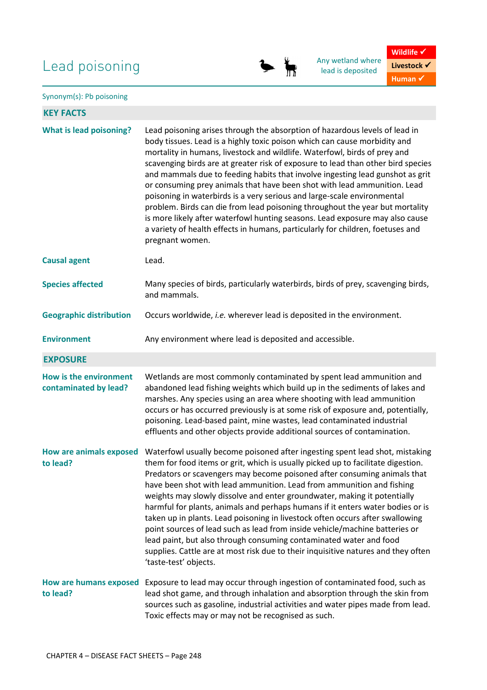# Lead poisoning any wetland where the ad is deposited



lead is deposited



Synonym(s): Pb poisoning

| <b>KEY FACTS</b>                                |                                                                                                                                                                                                                                                                                                                                                                                                                                                                                                                                                                                                                                                                                                                                                                                                                                         |
|-------------------------------------------------|-----------------------------------------------------------------------------------------------------------------------------------------------------------------------------------------------------------------------------------------------------------------------------------------------------------------------------------------------------------------------------------------------------------------------------------------------------------------------------------------------------------------------------------------------------------------------------------------------------------------------------------------------------------------------------------------------------------------------------------------------------------------------------------------------------------------------------------------|
| <b>What is lead poisoning?</b>                  | Lead poisoning arises through the absorption of hazardous levels of lead in<br>body tissues. Lead is a highly toxic poison which can cause morbidity and<br>mortality in humans, livestock and wildlife. Waterfowl, birds of prey and<br>scavenging birds are at greater risk of exposure to lead than other bird species<br>and mammals due to feeding habits that involve ingesting lead gunshot as grit<br>or consuming prey animals that have been shot with lead ammunition. Lead<br>poisoning in waterbirds is a very serious and large-scale environmental<br>problem. Birds can die from lead poisoning throughout the year but mortality<br>is more likely after waterfowl hunting seasons. Lead exposure may also cause<br>a variety of health effects in humans, particularly for children, foetuses and<br>pregnant women.  |
| <b>Causal agent</b>                             | Lead.                                                                                                                                                                                                                                                                                                                                                                                                                                                                                                                                                                                                                                                                                                                                                                                                                                   |
| <b>Species affected</b>                         | Many species of birds, particularly waterbirds, birds of prey, scavenging birds,<br>and mammals.                                                                                                                                                                                                                                                                                                                                                                                                                                                                                                                                                                                                                                                                                                                                        |
| <b>Geographic distribution</b>                  | Occurs worldwide, i.e. wherever lead is deposited in the environment.                                                                                                                                                                                                                                                                                                                                                                                                                                                                                                                                                                                                                                                                                                                                                                   |
| <b>Environment</b>                              | Any environment where lead is deposited and accessible.                                                                                                                                                                                                                                                                                                                                                                                                                                                                                                                                                                                                                                                                                                                                                                                 |
| <b>EXPOSURE</b>                                 |                                                                                                                                                                                                                                                                                                                                                                                                                                                                                                                                                                                                                                                                                                                                                                                                                                         |
| How is the environment<br>contaminated by lead? | Wetlands are most commonly contaminated by spent lead ammunition and<br>abandoned lead fishing weights which build up in the sediments of lakes and<br>marshes. Any species using an area where shooting with lead ammunition<br>occurs or has occurred previously is at some risk of exposure and, potentially,<br>poisoning. Lead-based paint, mine wastes, lead contaminated industrial<br>effluents and other objects provide additional sources of contamination.                                                                                                                                                                                                                                                                                                                                                                  |
| <b>How are animals exposed</b><br>to lead?      | Waterfowl usually become poisoned after ingesting spent lead shot, mistaking<br>them for food items or grit, which is usually picked up to facilitate digestion.<br>Predators or scavengers may become poisoned after consuming animals that<br>have been shot with lead ammunition. Lead from ammunition and fishing<br>weights may slowly dissolve and enter groundwater, making it potentially<br>harmful for plants, animals and perhaps humans if it enters water bodies or is<br>taken up in plants. Lead poisoning in livestock often occurs after swallowing<br>point sources of lead such as lead from inside vehicle/machine batteries or<br>lead paint, but also through consuming contaminated water and food<br>supplies. Cattle are at most risk due to their inquisitive natures and they often<br>'taste-test' objects. |
| How are humans exposed<br>to lead?              | Exposure to lead may occur through ingestion of contaminated food, such as<br>lead shot game, and through inhalation and absorption through the skin from<br>sources such as gasoline, industrial activities and water pipes made from lead.<br>Toxic effects may or may not be recognised as such.                                                                                                                                                                                                                                                                                                                                                                                                                                                                                                                                     |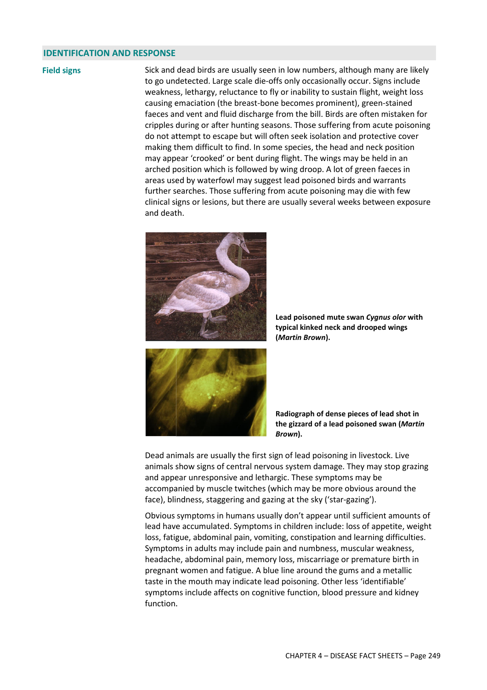### **IDENTIFICATION AND RESPONSE**

Field signs **Sick and dead birds are usually seen in low numbers**, although many are likely to go undetected. Large scale die-offs only occasionally occur. Signs include weakness, lethargy, reluctance to fly or inability to sustain flight, weight loss causing emaciation (the breast-bone becomes prominent), green-stained faeces and vent and fluid discharge from the bill. Birds are often mistaken for cripples during or after hunting seasons. Those suffering from acute poisoning do not attempt to escape but will often seek isolation and protective cover making them difficult to find. In some species, the head and neck position may appear 'crooked' or bent during flight. The wings may be held in an arched position which is followed by wing droop. A lot of green faeces in areas used by waterfowl may suggest lead poisoned birds and warrants further searches. Those suffering from acute poisoning may die with few arched position which is followed by wing droop. A lot of green faeces in<br>areas used by waterfowl may suggest lead poisoned birds and warrants<br>further searches. Those suffering from acute poisoning may die with few<br>clinica and death.





**Lead poisoned mute swan** *Cygnus olor* **with typical kinked neck and drooped wings (***Martin Brown***).** 

**Radiograph of dense pieces of lead shot in the gizzard of a lead poisoned swan swan (***Martin Brown***).** 

Dead animals are usually the first sign of lead poisoning in livestock. Live animals show signs of central nervous system damage. They may stop grazing and appear unresponsive and lethargic. These symptoms may be Dead animals are usually the first sign of lead poisoning in livestock. Live<br>animals show signs of central nervous system damage. They may stop graz<br>and appear unresponsive and lethargic. These symptoms may be<br>accompanied face), blindness, staggering and gazing at the sky ('star-gazing') ay be more obvious a<br>ne sky ('star-gazing').

Obvious symptoms in humans usually don't appear until sufficient amounts of lead have accumulated. Symptoms in children include: loss of appetite, weight loss, fatigue, abdominal pain, vomiting, constipation and learning difficulties. Symptoms in adults may include pain and numbness, muscular weakness, headache, abdominal pain, memory loss, miscarriage or premature birth in pregnant women and fatigue. A blue l ine taste in the mouth may indicate lead poisoning. Other less 'identifiable' symptoms include affects on cognitive function, blood pressure and kidney function. s, fatigue, abdominal pain, vomiting, constipation and learning difficult<br>mptoms in adults may include pain and numbness, muscular weakness,<br>adache, abdominal pain, memory loss, miscarriage or premature birth i<br>egnant wome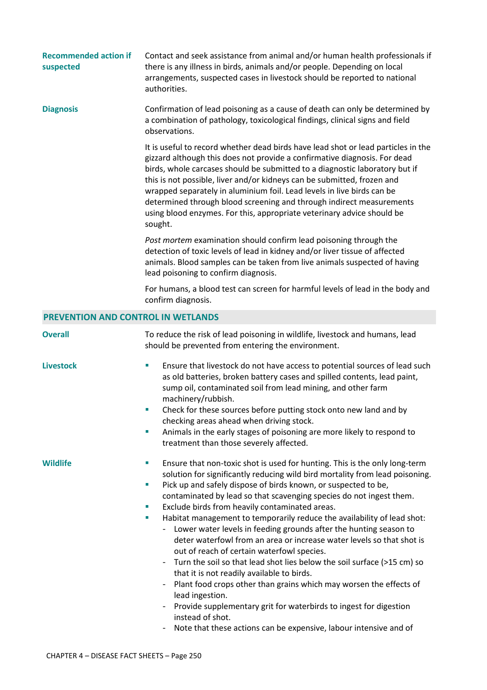| <b>Recommended action if</b><br>suspected | Contact and seek assistance from animal and/or human health professionals if<br>there is any illness in birds, animals and/or people. Depending on local<br>arrangements, suspected cases in livestock should be reported to national<br>authorities.                                                                                                                                                                                                                                                                                                           |  |
|-------------------------------------------|-----------------------------------------------------------------------------------------------------------------------------------------------------------------------------------------------------------------------------------------------------------------------------------------------------------------------------------------------------------------------------------------------------------------------------------------------------------------------------------------------------------------------------------------------------------------|--|
| <b>Diagnosis</b>                          | Confirmation of lead poisoning as a cause of death can only be determined by<br>a combination of pathology, toxicological findings, clinical signs and field<br>observations.                                                                                                                                                                                                                                                                                                                                                                                   |  |
|                                           | It is useful to record whether dead birds have lead shot or lead particles in the<br>gizzard although this does not provide a confirmative diagnosis. For dead<br>birds, whole carcases should be submitted to a diagnostic laboratory but if<br>this is not possible, liver and/or kidneys can be submitted, frozen and<br>wrapped separately in aluminium foil. Lead levels in live birds can be<br>determined through blood screening and through indirect measurements<br>using blood enzymes. For this, appropriate veterinary advice should be<br>sought. |  |
|                                           | Post mortem examination should confirm lead poisoning through the<br>detection of toxic levels of lead in kidney and/or liver tissue of affected<br>animals. Blood samples can be taken from live animals suspected of having<br>lead poisoning to confirm diagnosis.                                                                                                                                                                                                                                                                                           |  |
|                                           | For humans, a blood test can screen for harmful levels of lead in the body and<br>confirm diagnosis.                                                                                                                                                                                                                                                                                                                                                                                                                                                            |  |
| <b>PREVENTION AND CONTROL IN WETLANDS</b> |                                                                                                                                                                                                                                                                                                                                                                                                                                                                                                                                                                 |  |
| <b>Overall</b>                            | To reduce the risk of lead poisoning in wildlife, livestock and humans, lead<br>should be prevented from entering the environment.                                                                                                                                                                                                                                                                                                                                                                                                                              |  |
| <b>Livestock</b>                          | Ensure that livestock do not have access to potential sources of lead such<br>u,<br>as old batteries, broken battery cases and spilled contents, lead paint,<br>sump oil, contaminated soil from lead mining, and other farm<br>machinery/rubbish.                                                                                                                                                                                                                                                                                                              |  |

- Check for these sources before putting stock onto new land and by checking areas ahead when driving stock.
- Animals in the early stages of poisoning are more likely to respond to treatment than those severely affected.

- **Wildlife** Ensure that non-toxic shot is used for hunting. This is the only long-term solution for significantly reducing wild bird mortality from lead poisoning.
	- **Pick up and safely dispose of birds known, or suspected to be,** contaminated by lead so that scavenging species do not ingest them.
	- Exclude birds from heavily contaminated areas.
	- **Habitat management to temporarily reduce the availability of lead shot:** 
		- Lower water levels in feeding grounds after the hunting season to deter waterfowl from an area or increase water levels so that shot is out of reach of certain waterfowl species.
		- Turn the soil so that lead shot lies below the soil surface (>15 cm) so that it is not readily available to birds.
		- Plant food crops other than grains which may worsen the effects of lead ingestion.
		- Provide supplementary grit for waterbirds to ingest for digestion instead of shot.
		- Note that these actions can be expensive, labour intensive and of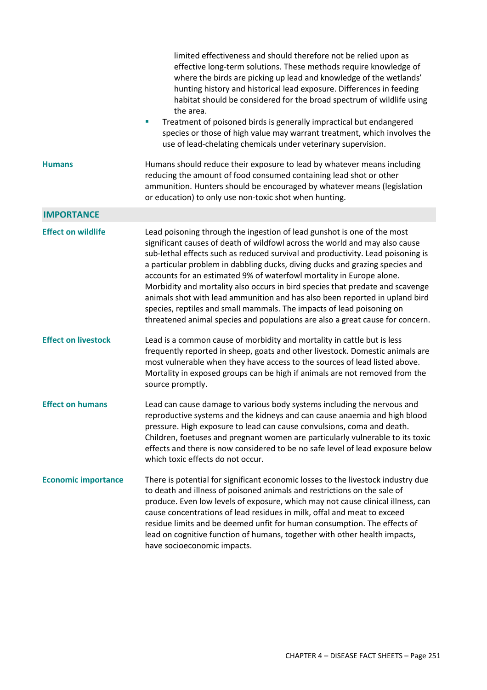|                            | limited effectiveness and should therefore not be relied upon as<br>effective long-term solutions. These methods require knowledge of<br>where the birds are picking up lead and knowledge of the wetlands'<br>hunting history and historical lead exposure. Differences in feeding<br>habitat should be considered for the broad spectrum of wildlife using<br>the area.<br>Treatment of poisoned birds is generally impractical but endangered<br>×<br>species or those of high value may warrant treatment, which involves the<br>use of lead-chelating chemicals under veterinary supervision.                                                                                                                          |
|----------------------------|-----------------------------------------------------------------------------------------------------------------------------------------------------------------------------------------------------------------------------------------------------------------------------------------------------------------------------------------------------------------------------------------------------------------------------------------------------------------------------------------------------------------------------------------------------------------------------------------------------------------------------------------------------------------------------------------------------------------------------|
| <b>Humans</b>              | Humans should reduce their exposure to lead by whatever means including<br>reducing the amount of food consumed containing lead shot or other<br>ammunition. Hunters should be encouraged by whatever means (legislation<br>or education) to only use non-toxic shot when hunting.                                                                                                                                                                                                                                                                                                                                                                                                                                          |
| <b>IMPORTANCE</b>          |                                                                                                                                                                                                                                                                                                                                                                                                                                                                                                                                                                                                                                                                                                                             |
| <b>Effect on wildlife</b>  | Lead poisoning through the ingestion of lead gunshot is one of the most<br>significant causes of death of wildfowl across the world and may also cause<br>sub-lethal effects such as reduced survival and productivity. Lead poisoning is<br>a particular problem in dabbling ducks, diving ducks and grazing species and<br>accounts for an estimated 9% of waterfowl mortality in Europe alone.<br>Morbidity and mortality also occurs in bird species that predate and scavenge<br>animals shot with lead ammunition and has also been reported in upland bird<br>species, reptiles and small mammals. The impacts of lead poisoning on<br>threatened animal species and populations are also a great cause for concern. |
| <b>Effect on livestock</b> | Lead is a common cause of morbidity and mortality in cattle but is less<br>frequently reported in sheep, goats and other livestock. Domestic animals are<br>most vulnerable when they have access to the sources of lead listed above.<br>Mortality in exposed groups can be high if animals are not removed from the<br>source promptly.                                                                                                                                                                                                                                                                                                                                                                                   |
| <b>Effect on humans</b>    | Lead can cause damage to various body systems including the nervous and<br>reproductive systems and the kidneys and can cause anaemia and high blood<br>pressure. High exposure to lead can cause convulsions, coma and death.<br>Children, foetuses and pregnant women are particularly vulnerable to its toxic<br>effects and there is now considered to be no safe level of lead exposure below<br>which toxic effects do not occur.                                                                                                                                                                                                                                                                                     |
| <b>Economic importance</b> | There is potential for significant economic losses to the livestock industry due<br>to death and illness of poisoned animals and restrictions on the sale of<br>produce. Even low levels of exposure, which may not cause clinical illness, can<br>cause concentrations of lead residues in milk, offal and meat to exceed<br>residue limits and be deemed unfit for human consumption. The effects of<br>lead on cognitive function of humans, together with other health impacts,<br>have socioeconomic impacts.                                                                                                                                                                                                          |